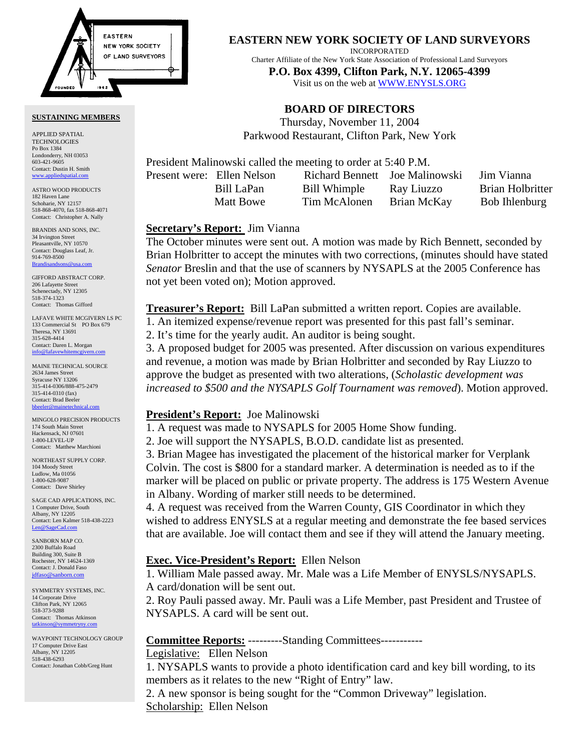

#### **SUSTAINING MEMBERS**

APPLIED SPATIAL TECHNOLOGIES Po Box 1384 Londonderry, NH 03053 603-421-9605 Contact: Dustin H. Smith <www.appliedspatial.com>

ASTRO WOOD PRODUCTS 182 Haven Lane Schoharie, NY 12157 518-868-4070, fax 518-868-4071 Contact: Christopher A. Nally

BRANDIS AND SONS, INC. 34 Irvington Street Pleasantville, NY 10570 Contact: Douglass Leaf, Jr. 914-769-8500 **Brandisar** 

GIFFORD ABSTRACT CORP. 206 Lafayette Street Schenectady, NY 12305 518-374-1323 Contact: Thomas Gifford

LAFAVE WHITE MCGIVERN LS PC 133 Commercial St PO Box 679 Theresa, NY 13691 315-628-4414 Contact: Daren L. Morgan [info@lafavewhitemcgivern.com](MAILTO:info@lafavewhitemcgivern.com)

MAINE TECHNICAL SOURCE 2634 James Street Syracuse NY 13206 315-414-0306/888-475-2479 315-414-0310 (fax) Contact: Brad Beeler [bbeeler@mainetechnical.com](MAILTO:bbeeler@mainetechnical.com)

MINGOLO PRECISION PRODUCTS 174 South Main Street Hackensack, NJ 07601 1-800-LEVEL-UP Contact: Matthew Marchioni

NORTHEAST SUPPLY CORP. 104 Moody Street Ludlow, Ma 01056 1-800-628-9087 Contact: Dave Shirley

SAGE CAD APPLICATIONS, INC. 1 Computer Drive, South Albany, NY 12205 Contact: Len Kalmer 518-438-2223 [Len@SageCad.com](MAILTO:Len@SageCad.com)

SANBORN MAP CO. 2300 Buffalo Road Building 300, Suite B Rochester, NY 14624-1369 Contact: J. Donald Faso [jdfaso@sanborn.com](mailto:jdfaso@sanborn.com)

SYMMETRY SYSTEMS, INC. 14 Corporate Drive Clifton Park, NY 12065 518-373-9288 Contact: Thomas Atkinson [tatkinson@symmetryny.com](mailto:tatkinson@symmetryny.com)

WAYPOINT TECHNOLOGY GROUP 17 Computer Drive East Albany, NY 12205 518-438-6293 Contact: Jonathan Cobb/Greg Hunt

**EASTERN NEW YORK SOCIETY OF LAND SURVEYORS**

INCORPORATED

Charter Affiliate of the New York State Association of Professional Land Surveyors

**P.O. Box 4399, Clifton Park, N.Y. 12065-4399**  Visit us on the web a[t WWW.ENYSLS.ORG](www.enysls.org)

# **BOARD OF DIRECTORS**

Thursday, November 11, 2004 Parkwood Restaurant, Clifton Park, New York

President Malinowski called the meeting to order at 5:40 P.M.

Present were: Ellen Nelson Richard Bennett Joe Malinowski Jim Vianna

 Bill LaPan Bill Whimple Ray Liuzzo Brian Holbritter Matt Bowe Tim McAlonen Brian McKay Bob Ihlenburg

#### **Secretary's Report:** Jim Vianna

The October minutes were sent out. A motion was made by Rich Bennett, seconded by Brian Holbritter to accept the minutes with two corrections, (minutes should have stated *Senator* Breslin and that the use of scanners by NYSAPLS at the 2005 Conference has not yet been voted on); Motion approved.

**Treasurer's Report:** Bill LaPan submitted a written report. Copies are available.

1. An itemized expense/revenue report was presented for this past fall's seminar.

2. It's time for the yearly audit. An auditor is being sought.

3. A proposed budget for 2005 was presented. After discussion on various expenditures and revenue, a motion was made by Brian Holbritter and seconded by Ray Liuzzo to approve the budget as presented with two alterations, (*Scholastic development was increased to \$500 and the NYSAPLS Golf Tournament was removed*). Motion approved.

### **President's Report:** Joe Malinowski

1. A request was made to NYSAPLS for 2005 Home Show funding.

2. Joe will support the NYSAPLS, B.O.D. candidate list as presented.

3. Brian Magee has investigated the placement of the historical marker for Verplank Colvin. The cost is \$800 for a standard marker. A determination is needed as to if the marker will be placed on public or private property. The address is 175 Western Avenue in Albany. Wording of marker still needs to be determined.

4. A request was received from the Warren County, GIS Coordinator in which they wished to address ENYSLS at a regular meeting and demonstrate the fee based services that are available. Joe will contact them and see if they will attend the January meeting.

### **Exec. Vice-President's Report:** Ellen Nelson

1. William Male passed away. Mr. Male was a Life Member of ENYSLS/NYSAPLS. A card/donation will be sent out.

2. Roy Pauli passed away. Mr. Pauli was a Life Member, past President and Trustee of NYSAPLS. A card will be sent out.

### **Committee Reports:** ---------Standing Committees-----------

Legislative: Ellen Nelson

1. NYSAPLS wants to provide a photo identification card and key bill wording, to its members as it relates to the new "Right of Entry" law.

2. A new sponsor is being sought for the "Common Driveway" legislation. Scholarship: Ellen Nelson